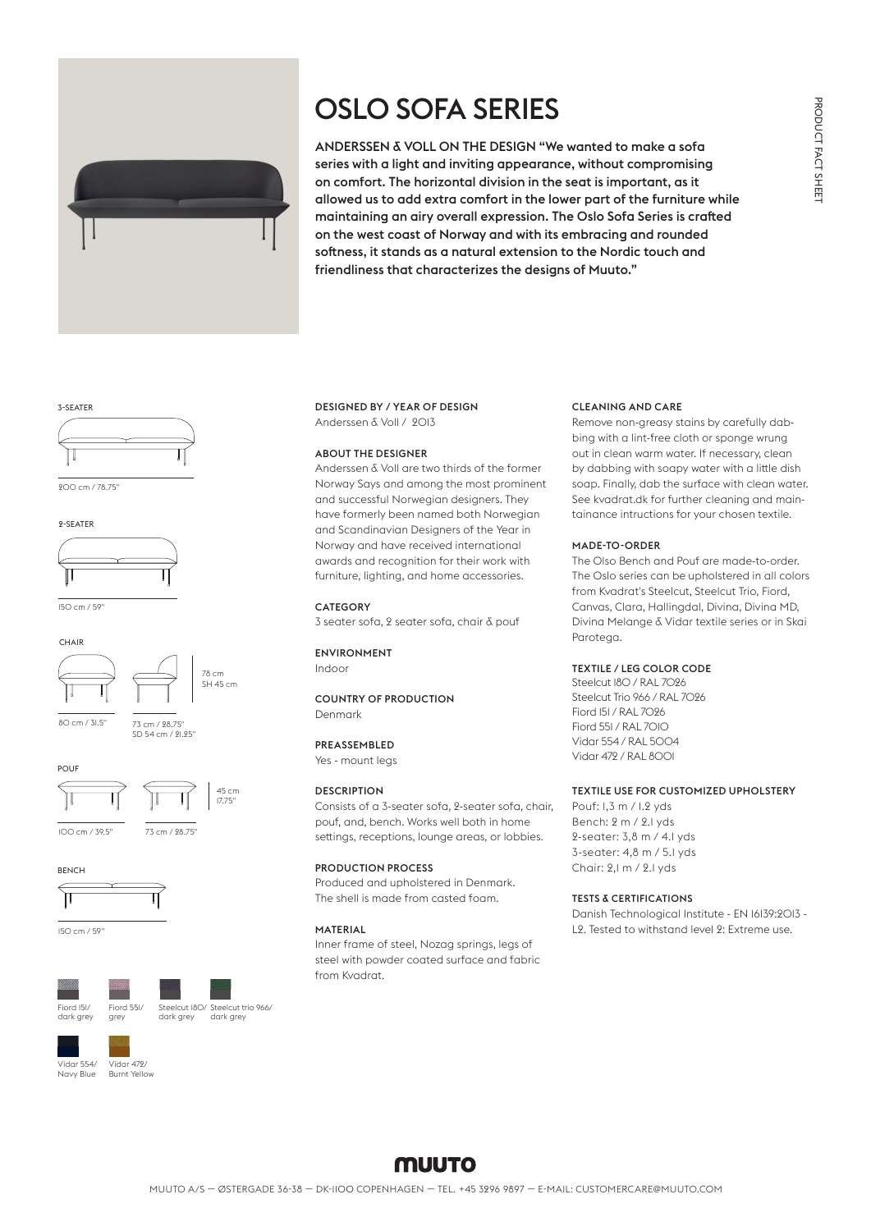# OSLO SOFA SERIES



ANDERSSEN & VOLL ON THE DESIGN "We wanted to make a sofa series with a light and inviting appearance, without compromising on comfort. The horizontal division in the seat is important, as it allowed us to add extra comfort in the lower part of the furniture while maintaining an airy overall expression. The Oslo Sofa Series is crafted on the west coast of Norway and with its embracing and rounded softness, it stands as a natural extension to the Nordic touch and friendliness that characterizes the designs of Muuto."

#### 3-SEATER



200 cm / 78.75"





150 cm / 59"





SD 54 cm / 21.25"

80 cm / 31.5" 73 cm / 28.75"





100 cm / 39.5" 73 cm / 28.75"

**BENCH** 

**POUF** 



150 cm / 59"





Vidar 472/ Burnt Yellow Vidar 554/ Navy Blue

grey

# DESIGNED BY / YEAR OF DESIGN Anderssen & Voll / 2013

#### ABOUT THE DESIGNER

Anderssen & Voll are two thirds of the former Norway Says and among the most prominent and successful Norwegian designers. They have formerly been named both Norwegian and Scandinavian Designers of the Year in Norway and have received international awards and recognition for their work with furniture, lighting, and home accessories.

#### **CATEGORY**

3 seater sofa, 2 seater sofa, chair & pouf

# ENVIRONMENT

Indoor

# COUNTRY OF PRODUCTION Denmark

PREASSEMBLED

Yes - mount legs

# **DESCRIPTION**

Consists of a 3-seater sofa, 2-seater sofa, chair, pouf, and, bench. Works well both in home settings, receptions, lounge areas, or lobbies.

#### PRODUCTION PROCESS

Produced and upholstered in Denmark. The shell is made from casted foam.

#### MATERIAL

Inner frame of steel, Nozag springs, legs of steel with powder coated surface and fabric from Kvadrat.

# CLEANING AND CARE

Remove non-greasy stains by carefully dabbing with a lint-free cloth or sponge wrung out in clean warm water. If necessary, clean by dabbing with soapy water with a little dish soap. Finally, dab the surface with clean water. See kvadrat.dk for further cleaning and maintainance intructions for your chosen textile.

### MADE-TO-ORDER

The Olso Bench and Pouf are made-to-order. The Oslo series can be upholstered in all colors from Kvadrat's Steelcut, Steelcut Trio, Fiord, Canvas, Clara, Hallingdal, Divina, Divina MD, Divina Melange & Vidar textile series or in Skai Parotega.

### TEXTILE / LEG COLOR CODE

Steelcut I8O / RAL 7096 Steelcut Trio 966 / RAL 7026 Fiord 151 / RAL 7026 Fiord 551 / RAL 7010 Vidar 554 / RAL 5004 Vidar 472 / RAL 8001

# TEXTILE USE FOR CUSTOMIZED UPHOLSTERY

Pouf: 1,3 m / 1.2 yds Bench: 2 m / 2.1 yds 2-seater: 3,8 m / 4.1 yds 3-seater: 4,8 m / 5.1 yds Chair: 2,1 m / 2.1 yds

#### TESTS & CERTIFICATIONS

Danish Technological Institute - EN 16139:2013 - L2. Tested to withstand level 2: Extreme use.

# **MUUTO**